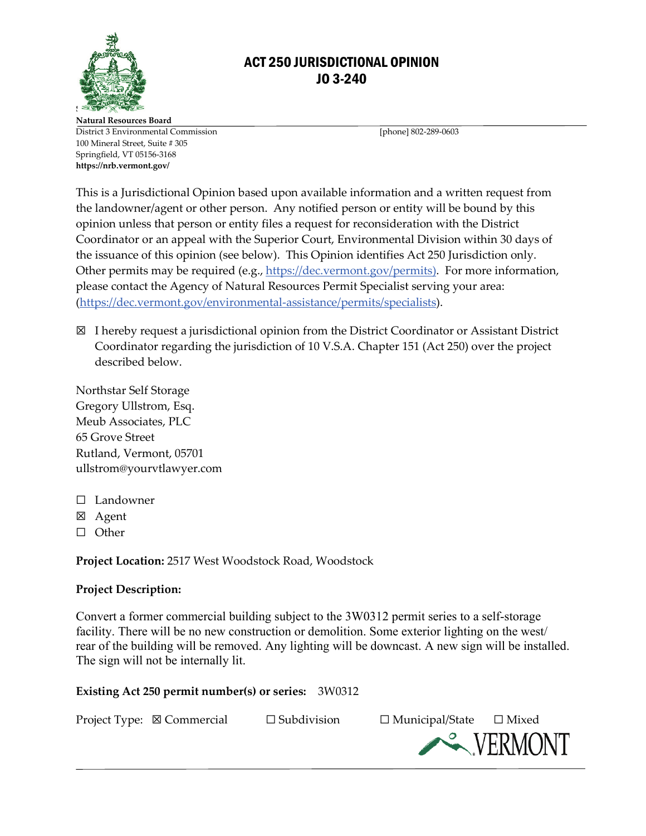

# ACT 250 JURISDICTIONAL OPINION JO 3-240

**Natural Resources Board** District 3 Environmental Commission [phone] 802-289-0603 100 Mineral Street, Suite # 305 Springfield, VT 05156-3168 **https://nrb.vermont.gov/**

This is a Jurisdictional Opinion based upon available information and a written request from the landowner/agent or other person. Any notified person or entity will be bound by this opinion unless that person or entity files a request for reconsideration with the District Coordinator or an appeal with the Superior Court, Environmental Division within 30 days of the issuance of this opinion (see below).This Opinion identifies Act 250 Jurisdiction only. Other permits may be required (e.g., [https://dec.vermont.gov/permits\)](https://dec.vermont.gov/permits). For more information, please contact the Agency of Natural Resources Permit Specialist serving your area: [\(https://dec.vermont.gov/environmental-assistance/permits/specialists\)](https://dec.vermont.gov/environmental-assistance/permits/specialists).

☒ I hereby request a jurisdictional opinion from the District Coordinator or Assistant District Coordinator regarding the jurisdiction of 10 V.S.A. Chapter 151 (Act 250) over the project described below.

Northstar Self Storage Gregory Ullstrom, Esq. Meub Associates, PLC 65 Grove Street Rutland, Vermont, 05701 ullstrom@yourvtlawyer.com

- ☐ Landowner
- ☒ Agent
- ☐ Other

**Project Location:** 2517 West Woodstock Road, Woodstock

## **Project Description:**

Convert a former commercial building subject to the 3W0312 permit series to a self-storage facility. There will be no new construction or demolition. Some exterior lighting on the west/ rear of the building will be removed. Any lighting will be downcast. A new sign will be installed. The sign will not be internally lit.

## **Existing Act 250 permit number(s) or series:** 3W0312

Project Type: ⊠ Commercial  $□$  Subdivision  $□$  Municipal/State  $□$  Mixed

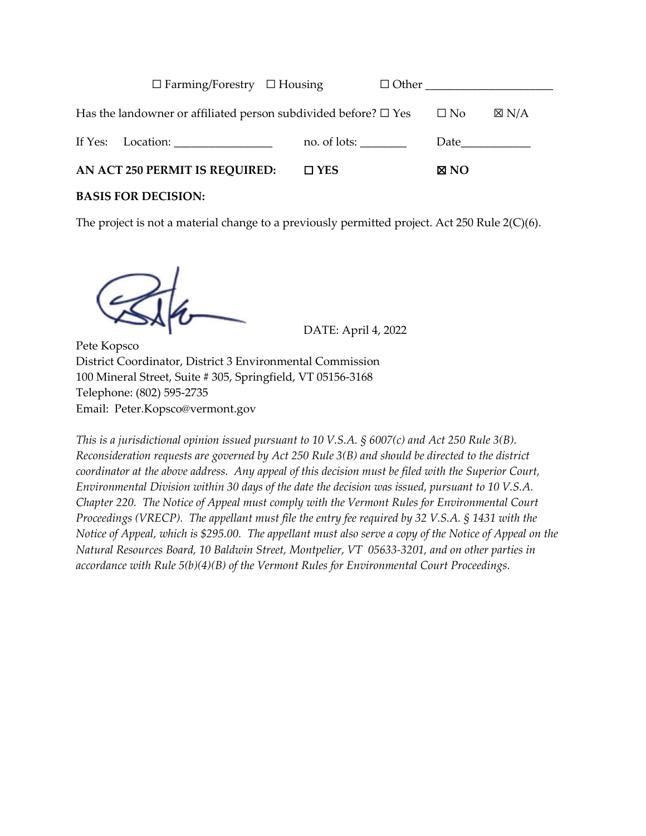| $\Box$ Farming/Forestry $\Box$ Housing                                                                   |              |  | $\Box$ Other                                                                                                                                                                                                                   |                 |
|----------------------------------------------------------------------------------------------------------|--------------|--|--------------------------------------------------------------------------------------------------------------------------------------------------------------------------------------------------------------------------------|-----------------|
| Has the landowner or affiliated person subdivided before? $\square$ Yes $\square$ No                     |              |  |                                                                                                                                                                                                                                | $\boxtimes$ N/A |
| If Yes: Location: $\frac{1}{\sqrt{1-\frac{1}{2}}}\left\lfloor \frac{1}{2(1-\frac{1}{2})^2}\right\rfloor$ | no. of lots: |  | Date and the part of the set of the set of the set of the set of the set of the set of the set of the set of the set of the set of the set of the set of the set of the set of the set of the set of the set of the set of the |                 |
| <b>AN ACT 250 PERMIT IS REQUIRED:</b>                                                                    | $\Box$ YES   |  | $X$ NO                                                                                                                                                                                                                         |                 |

#### **BASIS FOR DECISION:**

The project is not a material change to a previously permitted project. Act 250 Rule 2(C)(6).

DATE: April 4, 2022

Pete Kopsco District Coordinator, District 3 Environmental Commission 100 Mineral Street, Suite # 305, Springfield, VT 05156-3168 Telephone: (802) 595-2735 Email: Peter.Kopsco@vermont.gov

*This is a jurisdictional opinion issued pursuant to 10 V.S.A. § 6007(c) and Act 250 Rule 3(B). Reconsideration requests are governed by Act 250 Rule 3(B) and should be directed to the district coordinator at the above address. Any appeal of this decision must be filed with the Superior Court, Environmental Division within 30 days of the date the decision was issued, pursuant to 10 V.S.A. Chapter 220. The Notice of Appeal must comply with the Vermont Rules for Environmental Court Proceedings (VRECP). The appellant must file the entry fee required by 32 V.S.A. § 1431 with the Notice of Appeal, which is \$295.00. The appellant must also serve a copy of the Notice of Appeal on the Natural Resources Board, 10 Baldwin Street, Montpelier, VT 05633-3201, and on other parties in accordance with Rule 5(b)(4)(B) of the Vermont Rules for Environmental Court Proceedings.*